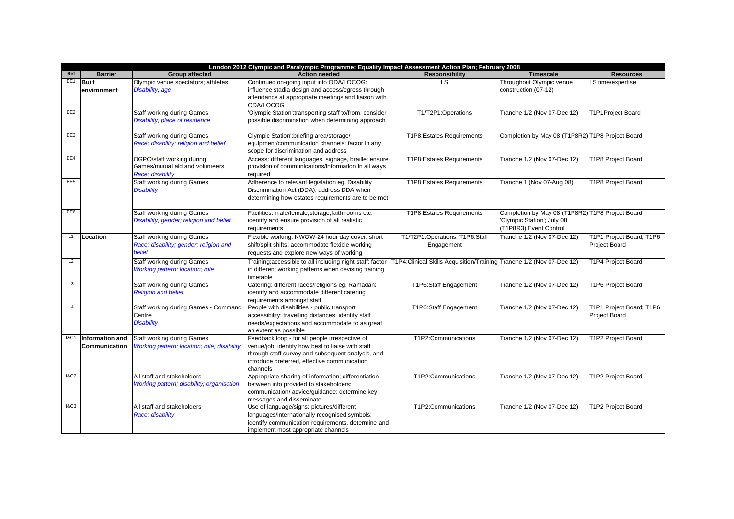|                 | London 2012 Olympic and Paralympic Programme: Equality Impact Assessment Action Plan; February 2008 |                                                                                       |                                                                                                                                                                                                                      |                                                                        |                                                                                                          |                                                  |
|-----------------|-----------------------------------------------------------------------------------------------------|---------------------------------------------------------------------------------------|----------------------------------------------------------------------------------------------------------------------------------------------------------------------------------------------------------------------|------------------------------------------------------------------------|----------------------------------------------------------------------------------------------------------|--------------------------------------------------|
| Ref             | <b>Barrier</b>                                                                                      | <b>Group affected</b>                                                                 | <b>Action needed</b>                                                                                                                                                                                                 | <b>Responsibility</b>                                                  | <b>Timescale</b>                                                                                         | <b>Resources</b>                                 |
| BE <sub>1</sub> | <b>Built</b><br>environment                                                                         | Olympic venue spectators; athletes<br>Disability; age                                 | Continued on-going input into ODA/LOCOG:<br>influence stadia design and access/egress through<br>attendance at appropriate meetings and liaison with<br>ODA/LOCOG                                                    | LS.                                                                    | Throughout Olympic venue<br>construction (07-12)                                                         | LS time/expertise                                |
| BE <sub>2</sub> |                                                                                                     | <b>Staff working during Games</b><br>Disability; place of residence                   | 'Olympic Station':transporting staff to/from: consider<br>possible discrimination when determining approach                                                                                                          | T1/T2P1:Operations                                                     | Tranche 1/2 (Nov 07-Dec 12)                                                                              | T1P1Project Board                                |
| BE3             |                                                                                                     | Staff working during Games<br>Race; disability; religion and belief                   | Olympic Station':briefing area/storage/<br>equipment/communication channels: factor in any<br>scope for discrimination and address                                                                                   | T1P8:Estates Requirements                                              | Completion by May 08 (T1P8R2) T1P8 Project Board                                                         |                                                  |
| BE4             |                                                                                                     | OGPO/staff working during<br>Games/mutual aid and volunteers<br>Race; disability      | Access: different languages, signage, braille: ensure<br>provision of communications/information in all ways<br>required                                                                                             | T1P8:Estates Requirements                                              | Tranche 1/2 (Nov 07-Dec 12)                                                                              | T1P8 Project Board                               |
| BE <sub>5</sub> |                                                                                                     | <b>Staff working during Games</b><br><b>Disability</b>                                | Adherence to relevant legislation eg. Disability<br>Discrimination Act (DDA): address DDA when<br>determining how estates requirements are to be met                                                                 | T1P8:Estates Requirements                                              | Tranche 1 (Nov 07-Aug 08)                                                                                | T1P8 Project Board                               |
| BE <sub>6</sub> |                                                                                                     | <b>Staff working during Games</b><br>Disability; gender; religion and belief          | Facilities: male/female;storage;faith rooms etc:<br>identify and ensure provision of all realistic<br>requirements                                                                                                   | T1P8:Estates Requirements                                              | Completion by May 08 (T1P8R2) T1P8 Project Board<br>'Olympic Station'; July 08<br>(T1P8R3) Event Control |                                                  |
| L1              | Location                                                                                            | <b>Staff working during Games</b><br>Race; disability; gender; religion and<br>belief | Flexible working: NWOW-24 hour day cover; short<br>shift/split shifts: accommodate flexible working<br>requests and explore new ways of working                                                                      | T1/T2P1:Operations; T1P6:Staff<br>Engagement                           | Tranche 1/2 (Nov 07-Dec 12)                                                                              | T1P1 Project Board; T1P6<br><b>Project Board</b> |
| L2              |                                                                                                     | <b>Staff working during Games</b><br>Working pattern; location; role                  | Training:accessible to all including night staff: factor<br>in different working patterns when devising training<br>timetable                                                                                        | T1P4: Clinical Skills Acquisition/Training Tranche 1/2 (Nov 07-Dec 12) |                                                                                                          | T1P4 Project Board                               |
| L <sub>3</sub>  |                                                                                                     | <b>Staff working during Games</b><br><b>Religion and belief</b>                       | Catering: different races/religions eg. Ramadan:<br>identify and accommodate different catering<br>requirements amongst staff                                                                                        | T1P6:Staff Engagement                                                  | Tranche 1/2 (Nov 07-Dec 12)                                                                              | T1P6 Project Board                               |
| L4              |                                                                                                     | Staff working during Games - Command<br>Centre<br><b>Disability</b>                   | People with disabilities - public transport<br>accessibility; travelling distances: identify staff<br>needs/expectations and accommodate to as great<br>an extent as possible                                        | T1P6:Staff Engagement                                                  | Tranche 1/2 (Nov 07-Dec 12)                                                                              | T1P1 Project Board; T1P6<br><b>Project Board</b> |
| <b>I&amp;C1</b> | Information and<br>Communication                                                                    | <b>Staff working during Games</b><br>Working pattern; location; role; disability      | Feedback loop - for all people irrespective of<br>venue/job: identify how best to liaise with staff<br>through staff survey and subsequent analysis, and<br>introduce preferred, effective communication<br>channels | T1P2:Communications                                                    | Tranche 1/2 (Nov 07-Dec 12)                                                                              | T1P2 Project Board                               |
| <b>1&amp;C2</b> |                                                                                                     | All staff and stakeholders<br>Working pattern; disability; organisation               | Appropriate sharing of information; differentiation<br>between info provided to stakeholders:<br>communication/ advice/guidance: determine key<br>messages and disseminate                                           | T1P2:Communications                                                    | Tranche 1/2 (Nov 07-Dec 12)                                                                              | T1P2 Project Board                               |
| 18C3            |                                                                                                     | All staff and stakeholders<br>Race; disability                                        | Use of language/signs: pictures/different<br>languages/internationally recognised symbols:<br>identify communication requirements, determine and<br>implement most appropriate channels                              | T1P2:Communications                                                    | Tranche 1/2 (Nov 07-Dec 12)                                                                              | T1P2 Project Board                               |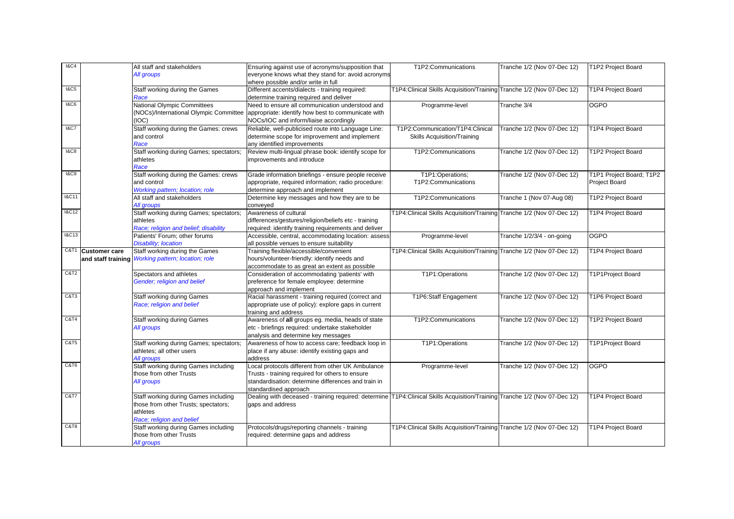| <b>I&amp;C4</b>  |                      | All staff and stakeholders                         | Ensuring against use of acronyms/supposition that                                                                          | T1P2:Communications                                                    | Tranche 1/2 (Nov 07-Dec 12) | T1P2 Project Board        |
|------------------|----------------------|----------------------------------------------------|----------------------------------------------------------------------------------------------------------------------------|------------------------------------------------------------------------|-----------------------------|---------------------------|
|                  |                      | All groups                                         | everyone knows what they stand for: avoid acronyms                                                                         |                                                                        |                             |                           |
|                  |                      |                                                    | where possible and/or write in full                                                                                        |                                                                        |                             |                           |
| 18C5             |                      | Staff working during the Games                     | Different accents/dialects - training required:                                                                            | T1P4: Clinical Skills Acquisition/Training Tranche 1/2 (Nov 07-Dec 12) |                             | T1P4 Project Board        |
|                  |                      | Race                                               | determine training required and deliver                                                                                    |                                                                        |                             |                           |
| <b>1&amp;C6</b>  |                      | National Olympic Committees                        | Need to ensure all communication understood and                                                                            | Programme-level                                                        | Tranche 3/4                 | <b>OGPO</b>               |
|                  |                      |                                                    | (NOCs)/International Olympic Committee appropriate: identify how best to communicate with                                  |                                                                        |                             |                           |
|                  |                      | (IOC)                                              | NOCs/IOC and inform/liaise accordingly                                                                                     |                                                                        |                             |                           |
| <b>1&amp;C7</b>  |                      | Staff working during the Games: crews              | Reliable, well-publicised route into Language Line:                                                                        | T1P2:Communication/T1P4:Clinical                                       | Tranche 1/2 (Nov 07-Dec 12) | T1P4 Project Board        |
|                  |                      | and control                                        | determine scope for improvement and implement                                                                              | Skills Acquisition/Training                                            |                             |                           |
|                  |                      | Race                                               | any identified improvements                                                                                                |                                                                        |                             |                           |
| 18C8             |                      | Staff working during Games; spectators;            | Review multi-lingual phrase book: identify scope for                                                                       | T1P2:Communications                                                    | Tranche 1/2 (Nov 07-Dec 12) | T1P2 Project Board        |
|                  |                      | athletes                                           | improvements and introduce                                                                                                 |                                                                        |                             |                           |
|                  |                      | Race                                               |                                                                                                                            |                                                                        |                             |                           |
| 18C9             |                      | Staff working during the Games: crews              | Grade information briefings - ensure people receive                                                                        | T1P1:Operations;                                                       | Tranche 1/2 (Nov 07-Dec 12) | T1P1 Project Board; T1P2  |
|                  |                      | and control                                        | appropriate, required information; radio procedure:                                                                        | T1P2:Communications                                                    |                             | Project Board             |
|                  |                      | Working pattern; location; role                    | determine approach and implement                                                                                           |                                                                        |                             |                           |
| <b>I&amp;C11</b> |                      | All staff and stakeholders                         | Determine key messages and how they are to be                                                                              | T1P2:Communications                                                    | Tranche 1 (Nov 07-Aug 08)   | T1P2 Project Board        |
|                  |                      | All groups                                         | conveyed                                                                                                                   |                                                                        |                             |                           |
| <b>I&amp;C12</b> |                      | Staff working during Games; spectators;            | Awareness of cultural                                                                                                      | T1P4: Clinical Skills Acquisition/Training Tranche 1/2 (Nov 07-Dec 12) |                             | T1P4 Project Board        |
|                  |                      | athletes                                           | differences/gestures/religion/beliefs etc - training                                                                       |                                                                        |                             |                           |
|                  |                      | Race; religion and belief; disability              | required: identify training requirements and deliver                                                                       |                                                                        |                             |                           |
| <b>I&amp;C13</b> |                      | Patients' Forum; other forums                      | Accessible, central, accommodating location: assess                                                                        | Programme-level                                                        | Tranche 1/2/3/4 - on-going  | <b>OGPO</b>               |
|                  |                      | <b>Disability; location</b>                        | all possible venues to ensure suitability                                                                                  |                                                                        |                             |                           |
| C&T1             | <b>Customer care</b> | Staff working during the Games                     | Training flexible/accessible/convenient                                                                                    | T1P4: Clinical Skills Acquisition/Training Tranche 1/2 (Nov 07-Dec 12) |                             | T1P4 Project Board        |
|                  |                      | and staff training Working pattern; location; role | hours/volunteer-friendly: identify needs and                                                                               |                                                                        |                             |                           |
|                  |                      |                                                    | accommodate to as great an extent as possible                                                                              |                                                                        |                             |                           |
| C&T2             |                      | Spectators and athletes                            | Consideration of accommodating 'patients' with                                                                             | T1P1:Operations                                                        | Tranche 1/2 (Nov 07-Dec 12) | <b>T1P1Project Board</b>  |
|                  |                      | Gender; religion and belief                        | preference for female employee: determine                                                                                  |                                                                        |                             |                           |
|                  |                      |                                                    | approach and implement                                                                                                     |                                                                        |                             |                           |
| C&T3             |                      | Staff working during Games                         | Racial harassment - training required (correct and                                                                         | T1P6:Staff Engagement                                                  | Tranche 1/2 (Nov 07-Dec 12) | T1P6 Project Board        |
|                  |                      | Race; religion and belief                          | appropriate use of policy): explore gaps in current                                                                        |                                                                        |                             |                           |
|                  |                      |                                                    | training and address                                                                                                       |                                                                        |                             |                           |
| C&T4             |                      | <b>Staff working during Games</b>                  | Awareness of all groups eg. media, heads of state                                                                          | T1P2:Communications                                                    | Tranche 1/2 (Nov 07-Dec 12) | T1P2 Project Board        |
|                  |                      | All groups                                         | etc - briefings required: undertake stakeholder                                                                            |                                                                        |                             |                           |
|                  |                      |                                                    | analysis and determine key messages                                                                                        |                                                                        |                             |                           |
| C&T5             |                      | Staff working during Games; spectators;            | Awareness of how to access care; feedback loop in                                                                          | T1P1:Operations                                                        | Tranche 1/2 (Nov 07-Dec 12) | T1P1Project Board         |
|                  |                      | athletes; all other users                          | place if any abuse: identify existing gaps and                                                                             |                                                                        |                             |                           |
|                  |                      | All groups                                         | address                                                                                                                    |                                                                        |                             |                           |
| C&T6             |                      | Staff working during Games including               | Local protocols different from other UK Ambulance                                                                          | Programme-level                                                        | Tranche 1/2 (Nov 07-Dec 12) | <b>OGPO</b>               |
|                  |                      | those from other Trusts                            | Trusts - training required for others to ensure                                                                            |                                                                        |                             |                           |
|                  |                      | All groups                                         | standardisation: determine differences and train in                                                                        |                                                                        |                             |                           |
|                  |                      |                                                    | standardised approach                                                                                                      |                                                                        |                             |                           |
| C&T7             |                      | Staff working during Games including               | Dealing with deceased - training required: determine T1P4:Clinical Skills Acquisition/Training Tranche 1/2 (Nov 07-Dec 12) |                                                                        |                             | T1P4 Project Board        |
|                  |                      | those from other Trusts; spectators;               | gaps and address                                                                                                           |                                                                        |                             |                           |
|                  |                      | athletes                                           |                                                                                                                            |                                                                        |                             |                           |
|                  |                      | Race; religion and belief                          |                                                                                                                            |                                                                        |                             |                           |
|                  |                      | Staff working during Games including               | Protocols/drugs/reporting channels - training                                                                              | T1P4:Clinical Skills Acquisition/Training Tranche 1/2 (Nov 07-Dec 12)  |                             | <b>T1P4 Project Board</b> |
|                  |                      | those from other Trusts                            | required: determine gaps and address                                                                                       |                                                                        |                             |                           |
|                  |                      | All groups                                         |                                                                                                                            |                                                                        |                             |                           |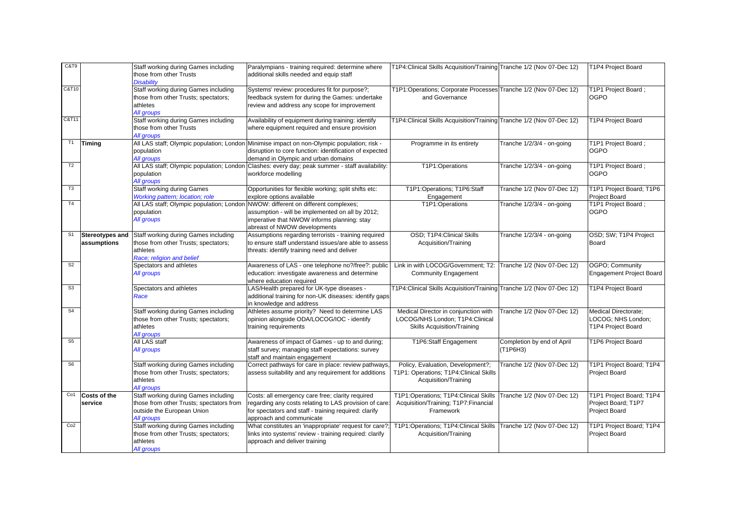| C&T9            |                                       | Staff working during Games including<br>those from other Trusts                   | Paralympians - training required: determine where<br>additional skills needed and equip staff                                                          | T1P4: Clinical Skills Acquisition/Training Tranche 1/2 (Nov 07-Dec 12)       |                             | T1P4 Project Board                        |
|-----------------|---------------------------------------|-----------------------------------------------------------------------------------|--------------------------------------------------------------------------------------------------------------------------------------------------------|------------------------------------------------------------------------------|-----------------------------|-------------------------------------------|
|                 |                                       | <b>Disability</b>                                                                 |                                                                                                                                                        |                                                                              |                             |                                           |
| C&T10           |                                       | Staff working during Games including                                              | Systems' review: procedures fit for purpose?;                                                                                                          | T1P1:Operations; Corporate Processes Tranche 1/2 (Nov 07-Dec 12)             |                             | T1P1 Project Board ;                      |
|                 |                                       | those from other Trusts; spectators;<br>athletes                                  | feedback system for during the Games: undertake<br>review and address any scope for improvement                                                        | and Governance                                                               |                             | <b>OGPO</b>                               |
|                 |                                       | All groups                                                                        |                                                                                                                                                        |                                                                              |                             |                                           |
| C&T11           |                                       | Staff working during Games including                                              | Availability of equipment during training: identify                                                                                                    | T1P4: Clinical Skills Acquisition/Training Tranche 1/2 (Nov 07-Dec 12)       |                             | T1P4 Project Board                        |
|                 |                                       | those from other Trusts                                                           | where equipment required and ensure provision                                                                                                          |                                                                              |                             |                                           |
| T1              |                                       | All groups                                                                        |                                                                                                                                                        |                                                                              |                             |                                           |
|                 | <b>Timing</b>                         | population                                                                        | All LAS staff; Olympic population; London Minimise impact on non-Olympic population; risk -<br>disruption to core function: identification of expected | Programme in its entirety                                                    | Tranche 1/2/3/4 - on-going  | T1P1 Project Board;<br><b>OGPO</b>        |
|                 |                                       | All groups                                                                        | demand in Olympic and urban domains                                                                                                                    |                                                                              |                             |                                           |
| T2              |                                       |                                                                                   | All LAS staff; Olympic population; London Clashes: every day; peak summer - staff availability:                                                        | T1P1:Operations                                                              | Tranche 1/2/3/4 - on-going  | T1P1 Project Board ;                      |
|                 |                                       | population                                                                        | workforce modelling                                                                                                                                    |                                                                              |                             | <b>OGPO</b>                               |
| T3              |                                       | All groups                                                                        |                                                                                                                                                        |                                                                              |                             |                                           |
|                 |                                       | <b>Staff working during Games</b><br>Working pattern; location; role              | Opportunities for flexible working; split shifts etc:<br>explore options available                                                                     | T1P1:Operations; T1P6:Staff<br>Engagement                                    | Tranche 1/2 (Nov 07-Dec 12) | T1P1 Project Board; T1P6<br>Project Board |
| T4              |                                       | All LAS staff; Olympic population; London NWOW: different on different complexes; |                                                                                                                                                        | T1P1:Operations                                                              | Tranche 1/2/3/4 - on-going  | T1P1 Project Board ;                      |
|                 |                                       | population                                                                        | assumption - will be implemented on all by 2012;                                                                                                       |                                                                              |                             | <b>OGPO</b>                               |
|                 |                                       | All groups                                                                        | imperative that NWOW informs planning: stay                                                                                                            |                                                                              |                             |                                           |
| S <sub>1</sub>  |                                       | Staff working during Games including                                              | abreast of NWOW developments                                                                                                                           | OSD; T1P4: Clinical Skills                                                   | Tranche 1/2/3/4 - on-going  | OSD; SW; T1P4 Project                     |
|                 | <b>Stereotypes and</b><br>assumptions | those from other Trusts; spectators;                                              | Assumptions regarding terrorists - training required<br>to ensure staff understand issues/are able to assess                                           | Acquisition/Training                                                         |                             | Board                                     |
|                 |                                       | athletes                                                                          | threats: identify training need and deliver                                                                                                            |                                                                              |                             |                                           |
|                 |                                       | Race; religion and belief                                                         |                                                                                                                                                        |                                                                              |                             |                                           |
| S <sub>2</sub>  |                                       | Spectators and athletes                                                           | Awareness of LAS - one telephone no?/free?: public                                                                                                     | Link in with LOCOG/Government; T2:                                           | Tranche 1/2 (Nov 07-Dec 12) | OGPO: Community                           |
|                 |                                       | All groups                                                                        | education: investigate awareness and determine                                                                                                         | <b>Community Engagement</b>                                                  |                             | <b>Engagement Project Board</b>           |
| S3              |                                       | Spectators and athletes                                                           | where education required<br>LAS/Health prepared for UK-type diseases -                                                                                 | T1P4: Clinical Skills Acquisition/Training Tranche 1/2 (Nov 07-Dec 12)       |                             | T1P4 Project Board                        |
|                 |                                       | Race                                                                              | additional training for non-UK diseases: identify gaps                                                                                                 |                                                                              |                             |                                           |
|                 |                                       |                                                                                   | in knowledge and address                                                                                                                               |                                                                              |                             |                                           |
| S <sub>4</sub>  |                                       | Staff working during Games including                                              | Athletes assume priority? Need to determine LAS                                                                                                        | Medical Director in conjunction with                                         | Tranche 1/2 (Nov 07-Dec 12) | <b>Medical Directorate:</b>               |
|                 |                                       | those from other Trusts; spectators;                                              | opinion alongside ODA/LOCOG/IOC - identify                                                                                                             | LOCOG/NHS London; T1P4:Clinical                                              |                             | LOCOG; NHS London;                        |
|                 |                                       | athletes<br>All groups                                                            | training requirements                                                                                                                                  | <b>Skills Acquisition/Training</b>                                           |                             | T1P4 Project Board                        |
| S <sub>5</sub>  |                                       | All LAS staff                                                                     | Awareness of impact of Games - up to and during;                                                                                                       | T1P6:Staff Engagement                                                        | Completion by end of April  | T1P6 Project Board                        |
|                 |                                       | All groups                                                                        | staff survey; managing staff expectations: survey                                                                                                      |                                                                              | (T1P6H3)                    |                                           |
|                 |                                       |                                                                                   | staff and maintain engagement                                                                                                                          |                                                                              |                             |                                           |
| S <sub>6</sub>  |                                       | Staff working during Games including                                              | Correct pathways for care in place: review pathways.                                                                                                   | Policy, Evaluation, Development?;<br>T1P1: Operations; T1P4: Clinical Skills | Tranche 1/2 (Nov 07-Dec 12) | T1P1 Project Board; T1P4<br>Project Board |
|                 |                                       | those from other Trusts; spectators;<br>athletes                                  | assess suitability and any requirement for additions                                                                                                   | Acquisition/Training                                                         |                             |                                           |
|                 |                                       | All groups                                                                        |                                                                                                                                                        |                                                                              |                             |                                           |
| Co <sub>1</sub> | <b>Costs of the</b>                   | Staff working during Games including                                              | Costs: all emergency care free; clarity required                                                                                                       | T1P1:Operations; T1P4:Clinical Skills                                        | Tranche 1/2 (Nov 07-Dec 12) | T1P1 Project Board; T1P4                  |
|                 | service                               | those from other Trusts; spectators from                                          | regarding any costs relating to LAS provision of care:                                                                                                 | Acquisition/Training; T1P7:Financial                                         |                             | Project Board; T1P7                       |
|                 |                                       | outside the European Union                                                        | for spectators and staff - training required: clarify                                                                                                  | Framework                                                                    |                             | Project Board                             |
| Co2             |                                       | All groups<br>Staff working during Games including                                | approach and communicate<br>What constitutes an 'inappropriate' request for care?                                                                      | T1P1:Operations; T1P4:Clinical Skills Tranche 1/2 (Nov 07-Dec 12)            |                             | T1P1 Project Board; T1P4                  |
|                 |                                       | those from other Trusts; spectators;                                              | links into systems' review - training required: clarify                                                                                                | Acquisition/Training                                                         |                             | Project Board                             |
|                 |                                       | athletes                                                                          | approach and deliver training                                                                                                                          |                                                                              |                             |                                           |
|                 |                                       | All groups                                                                        |                                                                                                                                                        |                                                                              |                             |                                           |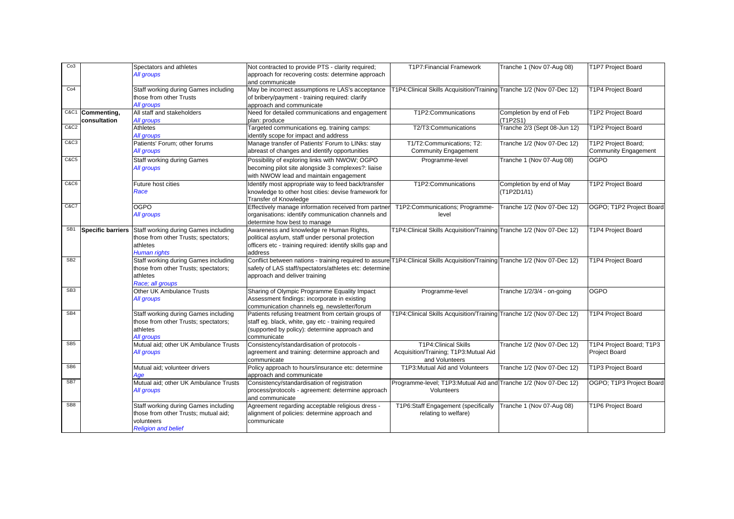| Co <sub>3</sub> |                          | Spectators and athletes                                                      | Not contracted to provide PTS - clarity required;                                                                                                                                       | T1P7: Financial Framework                                              | Tranche 1 (Nov 07-Aug 08)    | T1P7 Project Board                        |
|-----------------|--------------------------|------------------------------------------------------------------------------|-----------------------------------------------------------------------------------------------------------------------------------------------------------------------------------------|------------------------------------------------------------------------|------------------------------|-------------------------------------------|
|                 |                          | All groups                                                                   | approach for recovering costs: determine approach<br>and communicate                                                                                                                    |                                                                        |                              |                                           |
| Co4             |                          | Staff working during Games including                                         | May be incorrect assumptions re LAS's acceptance                                                                                                                                        | T1P4:Clinical Skills Acquisition/Training Tranche 1/2 (Nov 07-Dec 12)  |                              | <b>T1P4 Project Board</b>                 |
|                 |                          | those from other Trusts<br>All groups                                        | of bribery/payment - training required: clarify<br>approach and communicate                                                                                                             |                                                                        |                              |                                           |
|                 | C&C1 Commenting,         | All staff and stakeholders                                                   | Need for detailed communications and engagement                                                                                                                                         | T1P2:Communications                                                    | Completion by end of Feb     | T1P2 Project Board                        |
|                 | consultation             | All groups                                                                   | plan: produce                                                                                                                                                                           |                                                                        | (T1P2S1)                     |                                           |
| C&C2            |                          | Athletes<br>All groups                                                       | Targeted communications eg. training camps:<br>identify scope for impact and address                                                                                                    | T2/T3:Communications                                                   | Tranche 2/3 (Sept 08-Jun 12) | T1P2 Project Board                        |
| C&C3            |                          | Patients' Forum; other forums                                                | Manage transfer of Patients' Forum to LINks: stay                                                                                                                                       | T1/T2:Communications; T2:                                              | Tranche 1/2 (Nov 07-Dec 12)  | T1P2 Project Board;                       |
|                 |                          | All groups                                                                   | abreast of changes and identify opportunities                                                                                                                                           | <b>Community Engagement</b>                                            |                              | Community Engagement                      |
| <b>C&amp;C5</b> |                          | <b>Staff working during Games</b><br>All groups                              | Possibility of exploring links with NWOW; OGPO<br>becoming pilot site alongside 3 complexes?: liaise                                                                                    | Programme-level                                                        | Tranche 1 (Nov 07-Aug 08)    | <b>OGPO</b>                               |
|                 |                          |                                                                              | with NWOW lead and maintain engagement                                                                                                                                                  |                                                                        |                              |                                           |
| <b>C&amp;C6</b> |                          | Future host cities                                                           | Identify most appropriate way to feed back/transfer                                                                                                                                     | T1P2:Communications                                                    | Completion by end of May     | T1P2 Project Board                        |
|                 |                          | Race                                                                         | knowledge to other host cities: devise framework for<br>Transfer of Knowledge                                                                                                           |                                                                        | (T1P2D1/I1)                  |                                           |
| C&C7            |                          | <b>OGPO</b>                                                                  | Effectively manage information received from partner                                                                                                                                    | T1P2:Communications; Programme-                                        | Tranche 1/2 (Nov 07-Dec 12)  | OGPO; T1P2 Project Board                  |
|                 |                          | All groups                                                                   | organisations: identify communication channels and                                                                                                                                      | level                                                                  |                              |                                           |
| SB <sub>1</sub> | <b>Specific barriers</b> | Staff working during Games including                                         | determine how best to manage<br>Awareness and knowledge re Human Rights,                                                                                                                | T1P4: Clinical Skills Acquisition/Training Tranche 1/2 (Nov 07-Dec 12) |                              | T1P4 Project Board                        |
|                 |                          | those from other Trusts; spectators;                                         | political asylum, staff under personal protection                                                                                                                                       |                                                                        |                              |                                           |
|                 |                          | athletes                                                                     | officers etc - training required: identify skills gap and                                                                                                                               |                                                                        |                              |                                           |
|                 |                          | <b>Human rights</b>                                                          | address                                                                                                                                                                                 |                                                                        |                              |                                           |
| SB <sub>2</sub> |                          | Staff working during Games including<br>those from other Trusts; spectators; | Conflict between nations - training required to assure T1P4: Clinical Skills Acquisition/Training Tranche 1/2 (Nov 07-Dec 12)<br>safety of LAS staff/spectators/athletes etc: determine |                                                                        |                              | <b>T1P4 Project Board</b>                 |
|                 |                          | athletes                                                                     | approach and deliver training                                                                                                                                                           |                                                                        |                              |                                           |
|                 |                          | Race; all groups                                                             |                                                                                                                                                                                         |                                                                        |                              |                                           |
| SB <sub>3</sub> |                          | Other UK Ambulance Trusts                                                    | Sharing of Olympic Programme Equality Impact                                                                                                                                            | Programme-level                                                        | Tranche 1/2/3/4 - on-going   | <b>OGPO</b>                               |
|                 |                          | All groups                                                                   | Assessment findings: incorporate in existing<br>communication channels eg. newsletter/forum                                                                                             |                                                                        |                              |                                           |
| SB <sub>4</sub> |                          | Staff working during Games including                                         | Patients refusing treatment from certain groups of                                                                                                                                      | T1P4: Clinical Skills Acquisition/Training Tranche 1/2 (Nov 07-Dec 12) |                              | T1P4 Project Board                        |
|                 |                          | those from other Trusts; spectators;                                         | staff eg. black, white, gay etc - training required                                                                                                                                     |                                                                        |                              |                                           |
|                 |                          | athletes                                                                     | (supported by policy): determine approach and                                                                                                                                           |                                                                        |                              |                                           |
|                 |                          | All groups                                                                   | communicate                                                                                                                                                                             |                                                                        |                              |                                           |
| SB <sub>5</sub> |                          | Mutual aid; other UK Ambulance Trusts<br>All groups                          | Consistency/standardisation of protocols -<br>agreement and training: determine approach and                                                                                            | <b>T1P4:Clinical Skills</b><br>Acquisition/Training; T1P3:Mutual Aid   | Tranche 1/2 (Nov 07-Dec 12)  | T1P4 Project Board; T1P3<br>Project Board |
|                 |                          |                                                                              | communicate                                                                                                                                                                             | and Volunteers                                                         |                              |                                           |
| SB <sub>6</sub> |                          | Mutual aid; volunteer drivers                                                | Policy approach to hours/insurance etc: determine                                                                                                                                       | T1P3: Mutual Aid and Volunteers                                        | Tranche 1/2 (Nov 07-Dec 12)  | T1P3 Project Board                        |
|                 |                          | Age                                                                          | approach and communicate                                                                                                                                                                |                                                                        |                              |                                           |
| SB7             |                          | Mutual aid; other UK Ambulance Trusts                                        | Consistency/standardisation of registration                                                                                                                                             | Programme-level; T1P3: Mutual Aid and Tranche 1/2 (Nov 07-Dec 12)      |                              | OGPO; T1P3 Project Board                  |
|                 |                          | All groups                                                                   | process/protocols - agreement: determine approach<br>and communicate                                                                                                                    | Volunteers                                                             |                              |                                           |
| SB <sub>8</sub> |                          | Staff working during Games including                                         | Agreement regarding acceptable religious dress -                                                                                                                                        | T1P6:Staff Engagement (specifically                                    | Tranche 1 (Nov 07-Aug 08)    | T1P6 Project Board                        |
|                 |                          | those from other Trusts; mutual aid;<br>volunteers                           | alignment of policies: determine approach and                                                                                                                                           | relating to welfare)                                                   |                              |                                           |
|                 |                          | <b>Religion and belief</b>                                                   | communicate                                                                                                                                                                             |                                                                        |                              |                                           |